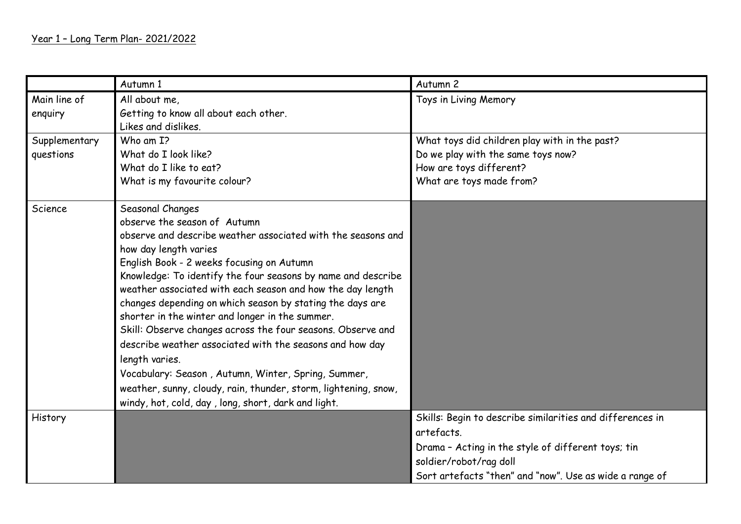|                         | Autumn 1                                                                   | Autumn 2                                                  |
|-------------------------|----------------------------------------------------------------------------|-----------------------------------------------------------|
| Main line of<br>enquiry | All about me,<br>Getting to know all about each other.                     | Toys in Living Memory                                     |
|                         | Likes and dislikes.                                                        |                                                           |
| Supplementary           | Who am I?                                                                  | What toys did children play with in the past?             |
| questions               | What do I look like?                                                       | Do we play with the same toys now?                        |
|                         | What do I like to eat?                                                     | How are toys different?                                   |
|                         | What is my favourite colour?                                               | What are toys made from?                                  |
| Science                 | Seasonal Changes                                                           |                                                           |
|                         | observe the season of Autumn                                               |                                                           |
|                         | observe and describe weather associated with the seasons and               |                                                           |
|                         | how day length varies                                                      |                                                           |
|                         | English Book - 2 weeks focusing on Autumn                                  |                                                           |
|                         | Knowledge: To identify the four seasons by name and describe               |                                                           |
|                         | weather associated with each season and how the day length                 |                                                           |
|                         | changes depending on which season by stating the days are                  |                                                           |
|                         | shorter in the winter and longer in the summer.                            |                                                           |
|                         | Skill: Observe changes across the four seasons. Observe and                |                                                           |
|                         | describe weather associated with the seasons and how day<br>length varies. |                                                           |
|                         | Vocabulary: Season, Autumn, Winter, Spring, Summer,                        |                                                           |
|                         | weather, sunny, cloudy, rain, thunder, storm, lightening, snow,            |                                                           |
|                         |                                                                            |                                                           |
|                         | windy, hot, cold, day, long, short, dark and light.                        |                                                           |
| History                 |                                                                            | Skills: Begin to describe similarities and differences in |
|                         |                                                                            | artefacts.                                                |
|                         |                                                                            | Drama - Acting in the style of different toys; tin        |
|                         |                                                                            | soldier/robot/rag doll                                    |
|                         |                                                                            | Sort artefacts "then" and "now". Use as wide a range of   |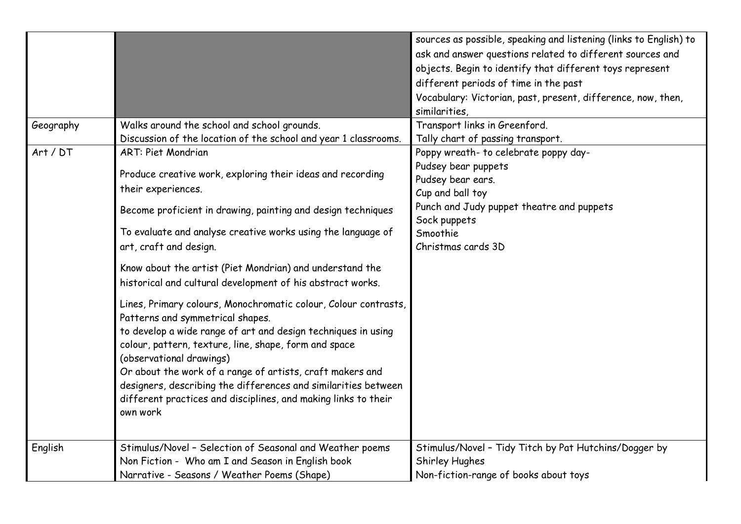|           |                                                                                                                                                                                                                                                                                                                                                                                                                                                                                                                                                                                                                                                                                                                                                                                                                                                                             | sources as possible, speaking and listening (links to English) to<br>ask and answer questions related to different sources and<br>objects. Begin to identify that different toys represent<br>different periods of time in the past<br>Vocabulary: Victorian, past, present, difference, now, then,<br>similarities. |
|-----------|-----------------------------------------------------------------------------------------------------------------------------------------------------------------------------------------------------------------------------------------------------------------------------------------------------------------------------------------------------------------------------------------------------------------------------------------------------------------------------------------------------------------------------------------------------------------------------------------------------------------------------------------------------------------------------------------------------------------------------------------------------------------------------------------------------------------------------------------------------------------------------|----------------------------------------------------------------------------------------------------------------------------------------------------------------------------------------------------------------------------------------------------------------------------------------------------------------------|
| Geography | Walks around the school and school grounds.<br>Discussion of the location of the school and year 1 classrooms.                                                                                                                                                                                                                                                                                                                                                                                                                                                                                                                                                                                                                                                                                                                                                              | Transport links in Greenford.<br>Tally chart of passing transport.                                                                                                                                                                                                                                                   |
| Art / DT  | <b>ART: Piet Mondrian</b><br>Produce creative work, exploring their ideas and recording<br>their experiences.<br>Become proficient in drawing, painting and design techniques<br>To evaluate and analyse creative works using the language of<br>art, craft and design.<br>Know about the artist (Piet Mondrian) and understand the<br>historical and cultural development of his abstract works.<br>Lines, Primary colours, Monochromatic colour, Colour contrasts,<br>Patterns and symmetrical shapes.<br>to develop a wide range of art and design techniques in using<br>colour, pattern, texture, line, shape, form and space<br>(observational drawings)<br>Or about the work of a range of artists, craft makers and<br>designers, describing the differences and similarities between<br>different practices and disciplines, and making links to their<br>own work | Poppy wreath- to celebrate poppy day-<br>Pudsey bear puppets<br>Pudsey bear ears.<br>Cup and ball toy<br>Punch and Judy puppet theatre and puppets<br>Sock puppets<br>Smoothie<br>Christmas cards 3D                                                                                                                 |
| English   | Stimulus/Novel - Selection of Seasonal and Weather poems<br>Non Fiction - Who am I and Season in English book<br>Narrative - Seasons / Weather Poems (Shape)                                                                                                                                                                                                                                                                                                                                                                                                                                                                                                                                                                                                                                                                                                                | Stimulus/Novel - Tidy Titch by Pat Hutchins/Dogger by<br>Shirley Hughes<br>Non-fiction-range of books about toys                                                                                                                                                                                                     |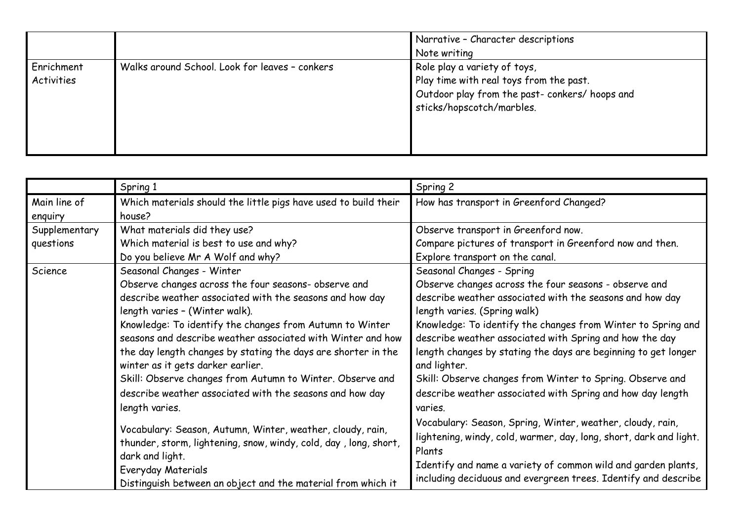|                          |                                                | Narrative - Character descriptions<br>Note writing                                                                                                     |
|--------------------------|------------------------------------------------|--------------------------------------------------------------------------------------------------------------------------------------------------------|
| Enrichment<br>Activities | Walks around School. Look for leaves - conkers | Role play a variety of toys,<br>Play time with real toys from the past.<br>Outdoor play from the past- conkers/ hoops and<br>sticks/hopscotch/marbles. |

|                            | Spring 1                                                                                                                                                                                                                                                                                                                                                                                                                                                                                                                                                                                                                                                                                                                                                                                               | Spring 2                                                                                                                                                                                                                                                                                                                                                                                                                                                                                                                                                                                                                                                                                                                                                                                                           |
|----------------------------|--------------------------------------------------------------------------------------------------------------------------------------------------------------------------------------------------------------------------------------------------------------------------------------------------------------------------------------------------------------------------------------------------------------------------------------------------------------------------------------------------------------------------------------------------------------------------------------------------------------------------------------------------------------------------------------------------------------------------------------------------------------------------------------------------------|--------------------------------------------------------------------------------------------------------------------------------------------------------------------------------------------------------------------------------------------------------------------------------------------------------------------------------------------------------------------------------------------------------------------------------------------------------------------------------------------------------------------------------------------------------------------------------------------------------------------------------------------------------------------------------------------------------------------------------------------------------------------------------------------------------------------|
| Main line of<br>enquiry    | Which materials should the little pigs have used to build their<br>house?                                                                                                                                                                                                                                                                                                                                                                                                                                                                                                                                                                                                                                                                                                                              | How has transport in Greenford Changed?                                                                                                                                                                                                                                                                                                                                                                                                                                                                                                                                                                                                                                                                                                                                                                            |
| Supplementary<br>questions | What materials did they use?<br>Which material is best to use and why?<br>Do you believe Mr A Wolf and why?                                                                                                                                                                                                                                                                                                                                                                                                                                                                                                                                                                                                                                                                                            | Observe transport in Greenford now.<br>Compare pictures of transport in Greenford now and then.<br>Explore transport on the canal.                                                                                                                                                                                                                                                                                                                                                                                                                                                                                                                                                                                                                                                                                 |
| Science                    | Seasonal Changes - Winter<br>Observe changes across the four seasons- observe and<br>describe weather associated with the seasons and how day<br>length varies - (Winter walk).<br>Knowledge: To identify the changes from Autumn to Winter<br>seasons and describe weather associated with Winter and how<br>the day length changes by stating the days are shorter in the<br>winter as it gets darker earlier.<br>Skill: Observe changes from Autumn to Winter. Observe and<br>describe weather associated with the seasons and how day<br>length varies.<br>Vocabulary: Season, Autumn, Winter, weather, cloudy, rain,<br>thunder, storm, lightening, snow, windy, cold, day, long, short,<br>dark and light.<br>Everyday Materials<br>Distinguish between an object and the material from which it | Seasonal Changes - Spring<br>Observe changes across the four seasons - observe and<br>describe weather associated with the seasons and how day<br>length varies. (Spring walk)<br>Knowledge: To identify the changes from Winter to Spring and<br>describe weather associated with Spring and how the day<br>length changes by stating the days are beginning to get longer<br>and lighter.<br>Skill: Observe changes from Winter to Spring. Observe and<br>describe weather associated with Spring and how day length<br>varies.<br>Vocabulary: Season, Spring, Winter, weather, cloudy, rain,<br>lightening, windy, cold, warmer, day, long, short, dark and light.<br>Plants<br>Identify and name a variety of common wild and garden plants,<br>including deciduous and evergreen trees. Identify and describe |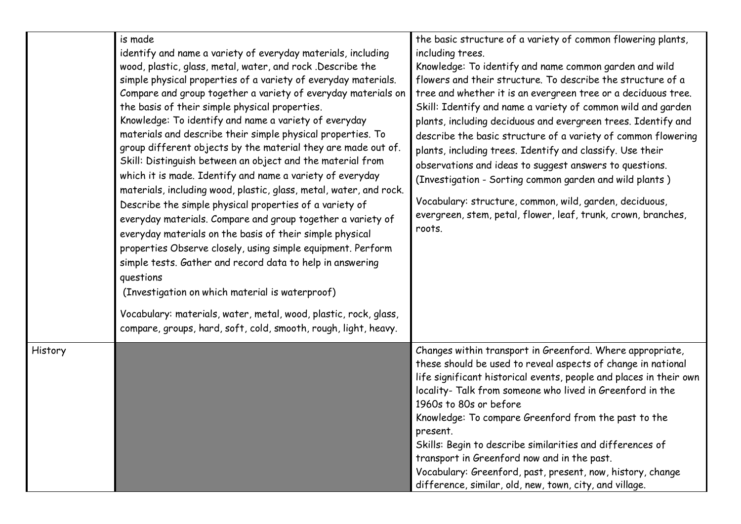|         | is made<br>identify and name a variety of everyday materials, including<br>wood, plastic, glass, metal, water, and rock. Describe the<br>simple physical properties of a variety of everyday materials.<br>Compare and group together a variety of everyday materials on<br>the basis of their simple physical properties.<br>Knowledge: To identify and name a variety of everyday<br>materials and describe their simple physical properties. To<br>group different objects by the material they are made out of.<br>Skill: Distinguish between an object and the material from<br>which it is made. Identify and name a variety of everyday<br>materials, including wood, plastic, glass, metal, water, and rock.<br>Describe the simple physical properties of a variety of<br>everyday materials. Compare and group together a variety of<br>everyday materials on the basis of their simple physical<br>properties Observe closely, using simple equipment. Perform<br>simple tests. Gather and record data to help in answering<br>questions<br>(Investigation on which material is waterproof)<br>Vocabulary: materials, water, metal, wood, plastic, rock, glass,<br>compare, groups, hard, soft, cold, smooth, rough, light, heavy. | the basic structure of a variety of common flowering plants,<br>including trees.<br>Knowledge: To identify and name common garden and wild<br>flowers and their structure. To describe the structure of a<br>tree and whether it is an evergreen tree or a deciduous tree.<br>Skill: Identify and name a variety of common wild and garden<br>plants, including deciduous and evergreen trees. Identify and<br>describe the basic structure of a variety of common flowering<br>plants, including trees. Identify and classify. Use their<br>observations and ideas to suggest answers to questions.<br>(Investigation - Sorting common garden and wild plants)<br>Vocabulary: structure, common, wild, garden, deciduous,<br>evergreen, stem, petal, flower, leaf, trunk, crown, branches,<br>roots. |
|---------|-----------------------------------------------------------------------------------------------------------------------------------------------------------------------------------------------------------------------------------------------------------------------------------------------------------------------------------------------------------------------------------------------------------------------------------------------------------------------------------------------------------------------------------------------------------------------------------------------------------------------------------------------------------------------------------------------------------------------------------------------------------------------------------------------------------------------------------------------------------------------------------------------------------------------------------------------------------------------------------------------------------------------------------------------------------------------------------------------------------------------------------------------------------------------------------------------------------------------------------------------|-------------------------------------------------------------------------------------------------------------------------------------------------------------------------------------------------------------------------------------------------------------------------------------------------------------------------------------------------------------------------------------------------------------------------------------------------------------------------------------------------------------------------------------------------------------------------------------------------------------------------------------------------------------------------------------------------------------------------------------------------------------------------------------------------------|
| History |                                                                                                                                                                                                                                                                                                                                                                                                                                                                                                                                                                                                                                                                                                                                                                                                                                                                                                                                                                                                                                                                                                                                                                                                                                               | Changes within transport in Greenford. Where appropriate,<br>these should be used to reveal aspects of change in national<br>life significant historical events, people and places in their own<br>locality- Talk from someone who lived in Greenford in the<br>1960s to 80s or before<br>Knowledge: To compare Greenford from the past to the<br>present.<br>Skills: Begin to describe similarities and differences of<br>transport in Greenford now and in the past.<br>Vocabulary: Greenford, past, present, now, history, change<br>difference, similar, old, new, town, city, and village.                                                                                                                                                                                                       |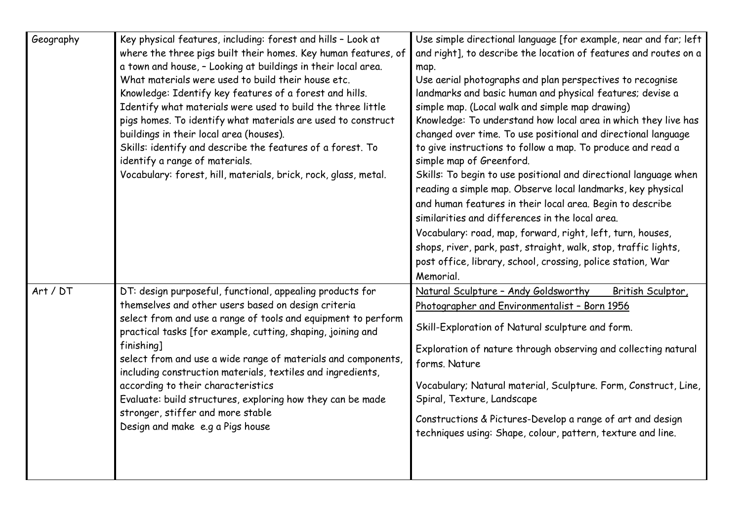| Geography | Key physical features, including: forest and hills - Look at<br>where the three pigs built their homes. Key human features, of<br>a town and house, - Looking at buildings in their local area.<br>What materials were used to build their house etc.<br>Knowledge: Identify key features of a forest and hills.<br>Identify what materials were used to build the three little<br>pigs homes. To identify what materials are used to construct<br>buildings in their local area (houses).<br>Skills: identify and describe the features of a forest. To<br>identify a range of materials.<br>Vocabulary: forest, hill, materials, brick, rock, glass, metal. | Use simple directional language [for example, near and far; left<br>and right], to describe the location of features and routes on a<br>map.<br>Use aerial photographs and plan perspectives to recognise<br>landmarks and basic human and physical features; devise a<br>simple map. (Local walk and simple map drawing)<br>Knowledge: To understand how local area in which they live has<br>changed over time. To use positional and directional language<br>to give instructions to follow a map. To produce and read a<br>simple map of Greenford.<br>Skills: To begin to use positional and directional language when<br>reading a simple map. Observe local landmarks, key physical<br>and human features in their local area. Begin to describe<br>similarities and differences in the local area.<br>Vocabulary: road, map, forward, right, left, turn, houses,<br>shops, river, park, past, straight, walk, stop, traffic lights,<br>post office, library, school, crossing, police station, War<br>Memorial. |
|-----------|---------------------------------------------------------------------------------------------------------------------------------------------------------------------------------------------------------------------------------------------------------------------------------------------------------------------------------------------------------------------------------------------------------------------------------------------------------------------------------------------------------------------------------------------------------------------------------------------------------------------------------------------------------------|-------------------------------------------------------------------------------------------------------------------------------------------------------------------------------------------------------------------------------------------------------------------------------------------------------------------------------------------------------------------------------------------------------------------------------------------------------------------------------------------------------------------------------------------------------------------------------------------------------------------------------------------------------------------------------------------------------------------------------------------------------------------------------------------------------------------------------------------------------------------------------------------------------------------------------------------------------------------------------------------------------------------------|
| Art / DT  | DT: design purposeful, functional, appealing products for<br>themselves and other users based on design criteria<br>select from and use a range of tools and equipment to perform<br>practical tasks [for example, cutting, shaping, joining and<br>finishing]<br>select from and use a wide range of materials and components,<br>including construction materials, textiles and ingredients,<br>according to their characteristics<br>Evaluate: build structures, exploring how they can be made<br>stronger, stiffer and more stable<br>Design and make e.g a Pigs house                                                                                   | Natural Sculpture - Andy Goldsworthy<br>British Sculptor,<br>Photographer and Environmentalist - Born 1956<br>Skill-Exploration of Natural sculpture and form.<br>Exploration of nature through observing and collecting natural<br>forms. Nature<br>Vocabulary; Natural material, Sculpture. Form, Construct, Line,<br>Spiral, Texture, Landscape<br>Constructions & Pictures-Develop a range of art and design<br>techniques using: Shape, colour, pattern, texture and line.                                                                                                                                                                                                                                                                                                                                                                                                                                                                                                                                         |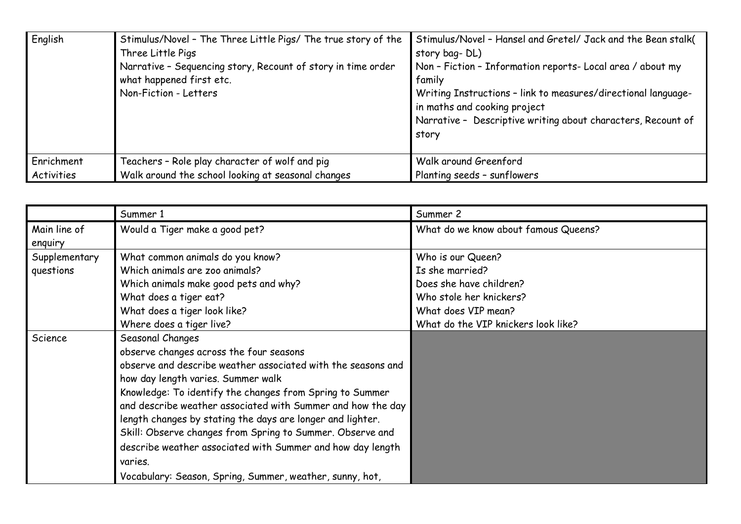| English    | Stimulus/Novel - The Three Little Pigs/ The true story of the<br>Three Little Pigs<br>Narrative - Sequencing story, Recount of story in time order<br>what happened first etc.<br>Non-Fiction - Letters | Stimulus/Novel - Hansel and Gretel/ Jack and the Bean stalk(<br>story bag-DL)<br>Non - Fiction - Information reports- Local area / about my<br>family<br>Writing Instructions - link to measures/directional language-<br>in maths and cooking project<br>Narrative - Descriptive writing about characters, Recount of<br>story |
|------------|---------------------------------------------------------------------------------------------------------------------------------------------------------------------------------------------------------|---------------------------------------------------------------------------------------------------------------------------------------------------------------------------------------------------------------------------------------------------------------------------------------------------------------------------------|
| Enrichment | Teachers - Role play character of wolf and pig                                                                                                                                                          | Walk around Greenford                                                                                                                                                                                                                                                                                                           |
| Activities | Walk around the school looking at seasonal changes                                                                                                                                                      | Planting seeds - sunflowers                                                                                                                                                                                                                                                                                                     |

|                         | Summer 1                                                     | Summer 2                             |
|-------------------------|--------------------------------------------------------------|--------------------------------------|
| Main line of<br>enquiry | Would a Tiger make a good pet?                               | What do we know about famous Queens? |
| Supplementary           | What common animals do you know?                             | Who is our Queen?                    |
| questions               | Which animals are zoo animals?                               | Is she married?                      |
|                         | Which animals make good pets and why?                        | Does she have children?              |
|                         | What does a tiger eat?                                       | Who stole her knickers?              |
|                         | What does a tiger look like?                                 | What does VIP mean?                  |
|                         | Where does a tiger live?                                     | What do the VIP knickers look like?  |
| Science                 | Seasonal Changes                                             |                                      |
|                         | observe changes across the four seasons                      |                                      |
|                         | observe and describe weather associated with the seasons and |                                      |
|                         | how day length varies. Summer walk                           |                                      |
|                         | Knowledge: To identify the changes from Spring to Summer     |                                      |
|                         | and describe weather associated with Summer and how the day  |                                      |
|                         | length changes by stating the days are longer and lighter.   |                                      |
|                         | Skill: Observe changes from Spring to Summer. Observe and    |                                      |
|                         | describe weather associated with Summer and how day length   |                                      |
|                         | varies.                                                      |                                      |
|                         | Vocabulary: Season, Spring, Summer, weather, sunny, hot,     |                                      |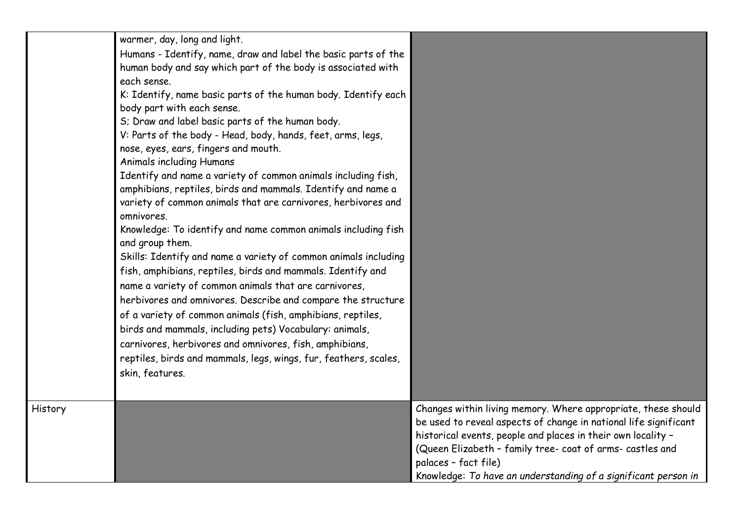|         | warmer, day, long and light.<br>Humans - Identify, name, draw and label the basic parts of the<br>human body and say which part of the body is associated with<br>each sense.<br>K: Identify, name basic parts of the human body. Identify each<br>body part with each sense.<br>S; Draw and label basic parts of the human body.<br>V: Parts of the body - Head, body, hands, feet, arms, legs,<br>nose, eyes, ears, fingers and mouth.<br><b>Animals including Humans</b><br>Identify and name a variety of common animals including fish,<br>amphibians, reptiles, birds and mammals. Identify and name a<br>variety of common animals that are carnivores, herbivores and<br>omnivores.<br>Knowledge: To identify and name common animals including fish<br>and group them.<br>Skills: Identify and name a variety of common animals including<br>fish, amphibians, reptiles, birds and mammals. Identify and<br>name a variety of common animals that are carnivores,<br>herbivores and omnivores. Describe and compare the structure<br>of a variety of common animals (fish, amphibians, reptiles,<br>birds and mammals, including pets) Vocabulary: animals,<br>carnivores, herbivores and omnivores, fish, amphibians,<br>reptiles, birds and mammals, legs, wings, fur, feathers, scales,<br>skin, features. |                                                                                                                                                                                                                                                                                                                                                          |
|---------|------------------------------------------------------------------------------------------------------------------------------------------------------------------------------------------------------------------------------------------------------------------------------------------------------------------------------------------------------------------------------------------------------------------------------------------------------------------------------------------------------------------------------------------------------------------------------------------------------------------------------------------------------------------------------------------------------------------------------------------------------------------------------------------------------------------------------------------------------------------------------------------------------------------------------------------------------------------------------------------------------------------------------------------------------------------------------------------------------------------------------------------------------------------------------------------------------------------------------------------------------------------------------------------------------------------------|----------------------------------------------------------------------------------------------------------------------------------------------------------------------------------------------------------------------------------------------------------------------------------------------------------------------------------------------------------|
|         |                                                                                                                                                                                                                                                                                                                                                                                                                                                                                                                                                                                                                                                                                                                                                                                                                                                                                                                                                                                                                                                                                                                                                                                                                                                                                                                        |                                                                                                                                                                                                                                                                                                                                                          |
| History |                                                                                                                                                                                                                                                                                                                                                                                                                                                                                                                                                                                                                                                                                                                                                                                                                                                                                                                                                                                                                                                                                                                                                                                                                                                                                                                        | Changes within living memory. Where appropriate, these should<br>be used to reveal aspects of change in national life significant<br>historical events, people and places in their own locality -<br>(Queen Elizabeth - family tree- coat of arms- castles and<br>palaces - fact file)<br>Knowledge: To have an understanding of a significant person in |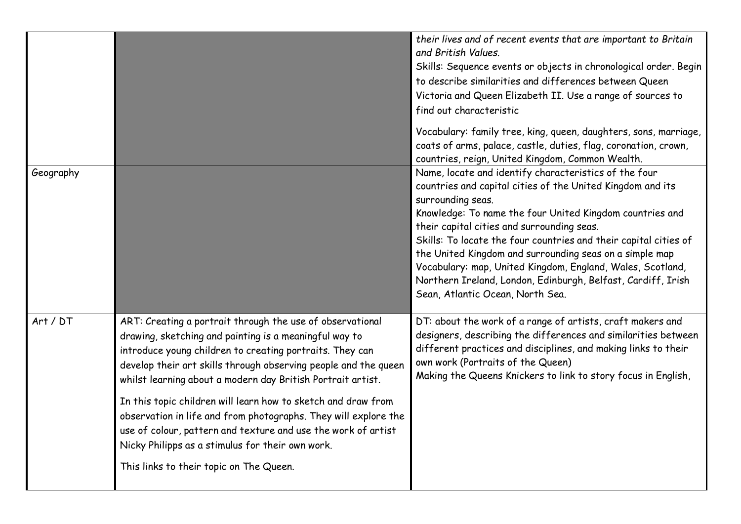|           |                                                                                                                                                                                                                                                                                                                                                                                    | their lives and of recent events that are important to Britain<br>and British Values.<br>Skills: Sequence events or objects in chronological order. Begin<br>to describe similarities and differences between Queen<br>Victoria and Queen Elizabeth II. Use a range of sources to<br>find out characteristic<br>Vocabulary: family tree, king, queen, daughters, sons, marriage,                                                                                                                                                                    |
|-----------|------------------------------------------------------------------------------------------------------------------------------------------------------------------------------------------------------------------------------------------------------------------------------------------------------------------------------------------------------------------------------------|-----------------------------------------------------------------------------------------------------------------------------------------------------------------------------------------------------------------------------------------------------------------------------------------------------------------------------------------------------------------------------------------------------------------------------------------------------------------------------------------------------------------------------------------------------|
|           |                                                                                                                                                                                                                                                                                                                                                                                    | coats of arms, palace, castle, duties, flag, coronation, crown,<br>countries, reign, United Kingdom, Common Wealth.                                                                                                                                                                                                                                                                                                                                                                                                                                 |
| Geography |                                                                                                                                                                                                                                                                                                                                                                                    | Name, locate and identify characteristics of the four<br>countries and capital cities of the United Kingdom and its<br>surrounding seas.<br>Knowledge: To name the four United Kingdom countries and<br>their capital cities and surrounding seas.<br>Skills: To locate the four countries and their capital cities of<br>the United Kingdom and surrounding seas on a simple map<br>Vocabulary: map, United Kingdom, England, Wales, Scotland,<br>Northern Ireland, London, Edinburgh, Belfast, Cardiff, Irish<br>Sean, Atlantic Ocean, North Sea. |
| Art / DT  | ART: Creating a portrait through the use of observational<br>drawing, sketching and painting is a meaningful way to<br>introduce young children to creating portraits. They can<br>develop their art skills through observing people and the queen<br>whilst learning about a modern day British Portrait artist.<br>In this topic children will learn how to sketch and draw from | DT: about the work of a range of artists, craft makers and<br>designers, describing the differences and similarities between<br>different practices and disciplines, and making links to their<br>own work (Portraits of the Queen)<br>Making the Queens Knickers to link to story focus in English,                                                                                                                                                                                                                                                |
|           | observation in life and from photographs. They will explore the<br>use of colour, pattern and texture and use the work of artist<br>Nicky Philipps as a stimulus for their own work.                                                                                                                                                                                               |                                                                                                                                                                                                                                                                                                                                                                                                                                                                                                                                                     |
|           | This links to their topic on The Queen.                                                                                                                                                                                                                                                                                                                                            |                                                                                                                                                                                                                                                                                                                                                                                                                                                                                                                                                     |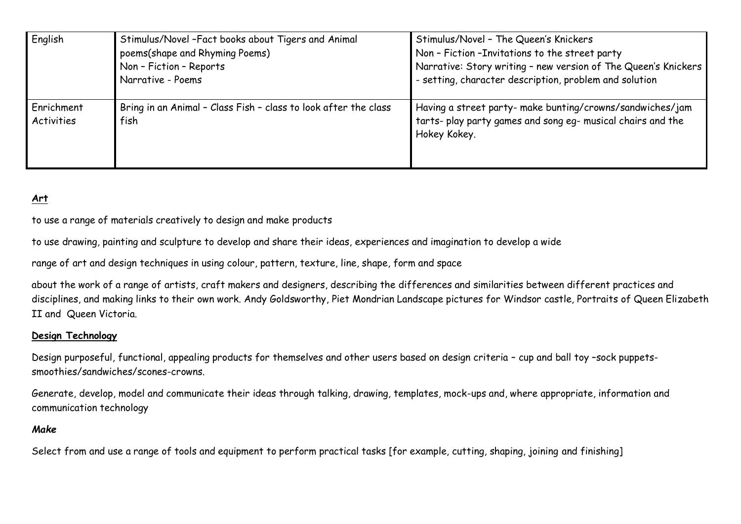| English                  | Stimulus/Novel - Fact books about Tigers and Animal<br>poems(shape and Rhyming Poems)<br>Non - Fiction - Reports<br>Narrative - Poems | Stimulus/Novel - The Queen's Knickers<br>Non - Fiction - Invitations to the street party<br>Narrative: Story writing - new version of The Queen's Knickers<br>- setting, character description, problem and solution |
|--------------------------|---------------------------------------------------------------------------------------------------------------------------------------|----------------------------------------------------------------------------------------------------------------------------------------------------------------------------------------------------------------------|
| Enrichment<br>Activities | Bring in an Animal - Class Fish - class to look after the class<br>fish                                                               | Having a street party- make bunting/crowns/sandwiches/jam<br>tarts- play party games and song eg- musical chairs and the<br>Hokey Kokey.                                                                             |

## **Art**

to use a range of materials creatively to design and make products

to use drawing, painting and sculpture to develop and share their ideas, experiences and imagination to develop a wide

range of art and design techniques in using colour, pattern, texture, line, shape, form and space

about the work of a range of artists, craft makers and designers, describing the differences and similarities between different practices and disciplines, and making links to their own work. Andy Goldsworthy, Piet Mondrian Landscape pictures for Windsor castle, Portraits of Queen Elizabeth II and Queen Victoria.

#### **Design Technology**

Design purposeful, functional, appealing products for themselves and other users based on design criteria – cup and ball toy –sock puppetssmoothies/sandwiches/scones-crowns.

Generate, develop, model and communicate their ideas through talking, drawing, templates, mock-ups and, where appropriate, information and communication technology

#### *Make*

Select from and use a range of tools and equipment to perform practical tasks [for example, cutting, shaping, joining and finishing]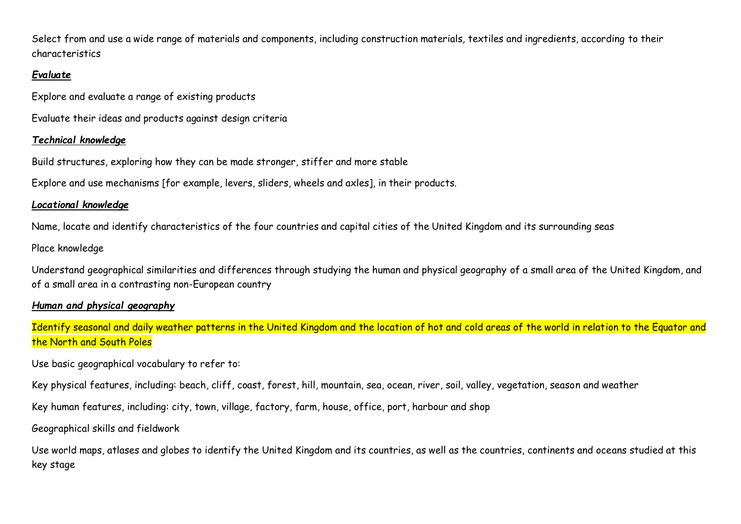Select from and use a wide range of materials and components, including construction materials, textiles and ingredients, according to their characteristics

#### *Evaluate*

Explore and evaluate a range of existing products

Evaluate their ideas and products against design criteria

## *Technical knowledge*

Build structures, exploring how they can be made stronger, stiffer and more stable

Explore and use mechanisms [for example, levers, sliders, wheels and axles], in their products.

## *Locational knowledge*

Name, locate and identify characteristics of the four countries and capital cities of the United Kingdom and its surrounding seas

Place knowledge

Understand geographical similarities and differences through studying the human and physical geography of a small area of the United Kingdom, and of a small area in a contrasting non-European country

# *Human and physical geography*

Identify seasonal and daily weather patterns in the United Kingdom and the location of hot and cold areas of the world in relation to the Equator and the North and South Poles

Use basic geographical vocabulary to refer to:

Key physical features, including: beach, cliff, coast, forest, hill, mountain, sea, ocean, river, soil, valley, vegetation, season and weather

Key human features, including: city, town, village, factory, farm, house, office, port, harbour and shop

Geographical skills and fieldwork

Use world maps, atlases and globes to identify the United Kingdom and its countries, as well as the countries, continents and oceans studied at this key stage